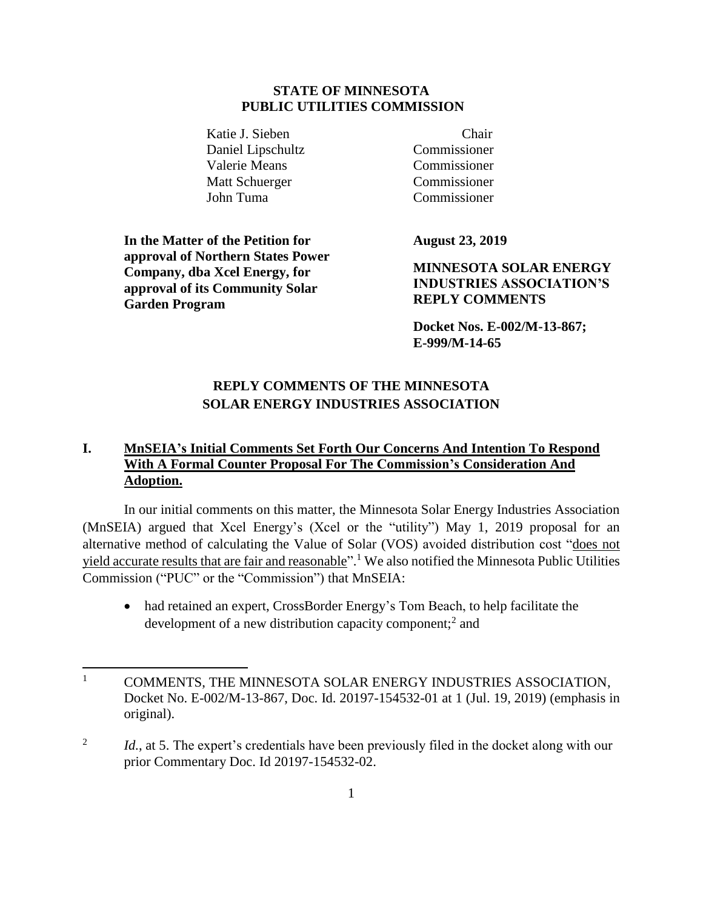#### **STATE OF MINNESOTA PUBLIC UTILITIES COMMISSION**

Katie J. Sieben Chair Daniel Lipschultz Commissioner Valerie Means Commissioner Matt Schuerger Commissioner John Tuma Commissioner

**In the Matter of the Petition for approval of Northern States Power Company, dba Xcel Energy, for approval of its Community Solar Garden Program**

**August 23, 2019**

**MINNESOTA SOLAR ENERGY INDUSTRIES ASSOCIATION'S REPLY COMMENTS**

**Docket Nos. E-002/M-13-867; E-999/M-14-65**

# **REPLY COMMENTS OF THE MINNESOTA SOLAR ENERGY INDUSTRIES ASSOCIATION**

## **I. MnSEIA's Initial Comments Set Forth Our Concerns And Intention To Respond With A Formal Counter Proposal For The Commission's Consideration And Adoption.**

In our initial comments on this matter, the Minnesota Solar Energy Industries Association (MnSEIA) argued that Xcel Energy's (Xcel or the "utility") May 1, 2019 proposal for an alternative method of calculating the Value of Solar (VOS) avoided distribution cost "does not yield accurate results that are fair and reasonable".<sup>1</sup> We also notified the Minnesota Public Utilities Commission ("PUC" or the "Commission") that MnSEIA:

• had retained an expert, CrossBorder Energy's Tom Beach, to help facilitate the development of a new distribution capacity component;<sup>2</sup> and

<sup>&</sup>lt;sup>1</sup> COMMENTS, THE MINNESOTA SOLAR ENERGY INDUSTRIES ASSOCIATION, Docket No. E-002/M-13-867, Doc. Id. 20197-154532-01 at 1 (Jul. 19, 2019) (emphasis in original).

<sup>2</sup> *Id.*, at 5. The expert's credentials have been previously filed in the docket along with our prior Commentary Doc. Id 20197-154532-02.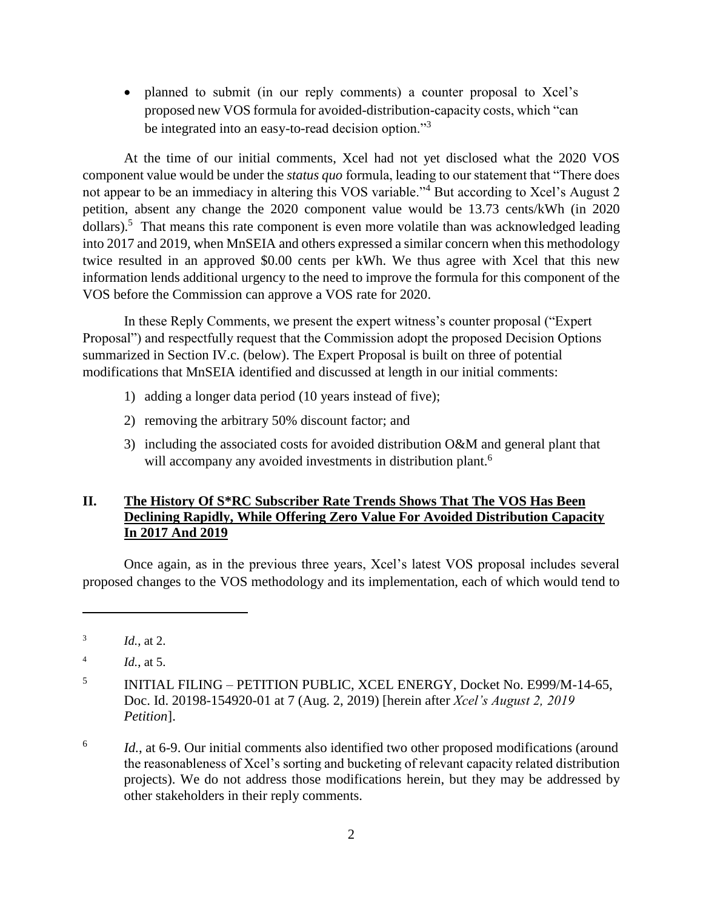• planned to submit (in our reply comments) a counter proposal to Xcel's proposed new VOS formula for avoided-distribution-capacity costs, which "can be integrated into an easy-to-read decision option."<sup>3</sup>

At the time of our initial comments, Xcel had not yet disclosed what the 2020 VOS component value would be under the *status quo* formula, leading to our statement that "There does not appear to be an immediacy in altering this VOS variable."<sup>4</sup> But according to Xcel's August 2 petition, absent any change the 2020 component value would be 13.73 cents/kWh (in 2020 dollars).<sup>5</sup> That means this rate component is even more volatile than was acknowledged leading into 2017 and 2019, when MnSEIA and others expressed a similar concern when this methodology twice resulted in an approved \$0.00 cents per kWh. We thus agree with Xcel that this new information lends additional urgency to the need to improve the formula for this component of the VOS before the Commission can approve a VOS rate for 2020.

In these Reply Comments, we present the expert witness's counter proposal ("Expert Proposal") and respectfully request that the Commission adopt the proposed Decision Options summarized in Section IV.c. (below). The Expert Proposal is built on three of potential modifications that MnSEIA identified and discussed at length in our initial comments:

- 1) adding a longer data period (10 years instead of five);
- 2) removing the arbitrary 50% discount factor; and
- 3) including the associated costs for avoided distribution O&M and general plant that will accompany any avoided investments in distribution plant.<sup>6</sup>

### **II. The History Of S\*RC Subscriber Rate Trends Shows That The VOS Has Been Declining Rapidly, While Offering Zero Value For Avoided Distribution Capacity In 2017 And 2019**

Once again, as in the previous three years, Xcel's latest VOS proposal includes several proposed changes to the VOS methodology and its implementation, each of which would tend to

<sup>3</sup> *Id.*, at 2.

<sup>4</sup> *Id.*, at 5.

<sup>5</sup> INITIAL FILING – PETITION PUBLIC, XCEL ENERGY, Docket No. E999/M-14-65, Doc. Id. 20198-154920-01 at 7 (Aug. 2, 2019) [herein after *Xcel's August 2, 2019 Petition*].

<sup>6</sup> *Id.*, at 6-9. Our initial comments also identified two other proposed modifications (around the reasonableness of Xcel's sorting and bucketing of relevant capacity related distribution projects). We do not address those modifications herein, but they may be addressed by other stakeholders in their reply comments.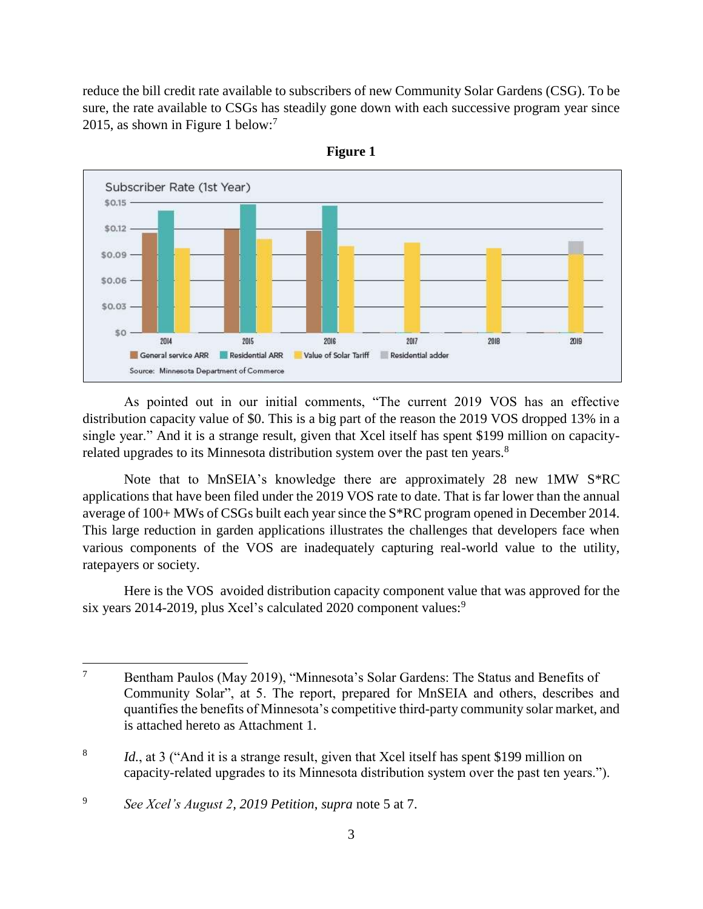reduce the bill credit rate available to subscribers of new Community Solar Gardens (CSG). To be sure, the rate available to CSGs has steadily gone down with each successive program year since 2015, as shown in Figure 1 below:<sup>7</sup>





As pointed out in our initial comments, "The current 2019 VOS has an effective distribution capacity value of \$0. This is a big part of the reason the 2019 VOS dropped 13% in a single year." And it is a strange result, given that Xcel itself has spent \$199 million on capacityrelated upgrades to its Minnesota distribution system over the past ten years.<sup>8</sup>

Note that to MnSEIA's knowledge there are approximately 28 new 1MW S\*RC applications that have been filed under the 2019 VOS rate to date. That is far lower than the annual average of 100+ MWs of CSGs built each year since the S\*RC program opened in December 2014. This large reduction in garden applications illustrates the challenges that developers face when various components of the VOS are inadequately capturing real-world value to the utility, ratepayers or society.

Here is the VOS avoided distribution capacity component value that was approved for the six years 2014-2019, plus Xcel's calculated 2020 component values:<sup>9</sup>

<sup>&</sup>lt;sup>7</sup> Bentham Paulos (May 2019), "Minnesota's Solar Gardens: The Status and Benefits of Community Solar", at 5. The report, prepared for MnSEIA and others, describes and quantifies the benefits of Minnesota's competitive third-party community solar market, and is attached hereto as Attachment 1.

<sup>8</sup> Id., at 3 ("And it is a strange result, given that Xcel itself has spent \$199 million on capacity-related upgrades to its Minnesota distribution system over the past ten years.").

<sup>9</sup> *See Xcel's August 2, 2019 Petition*, *supra* note 5 at 7.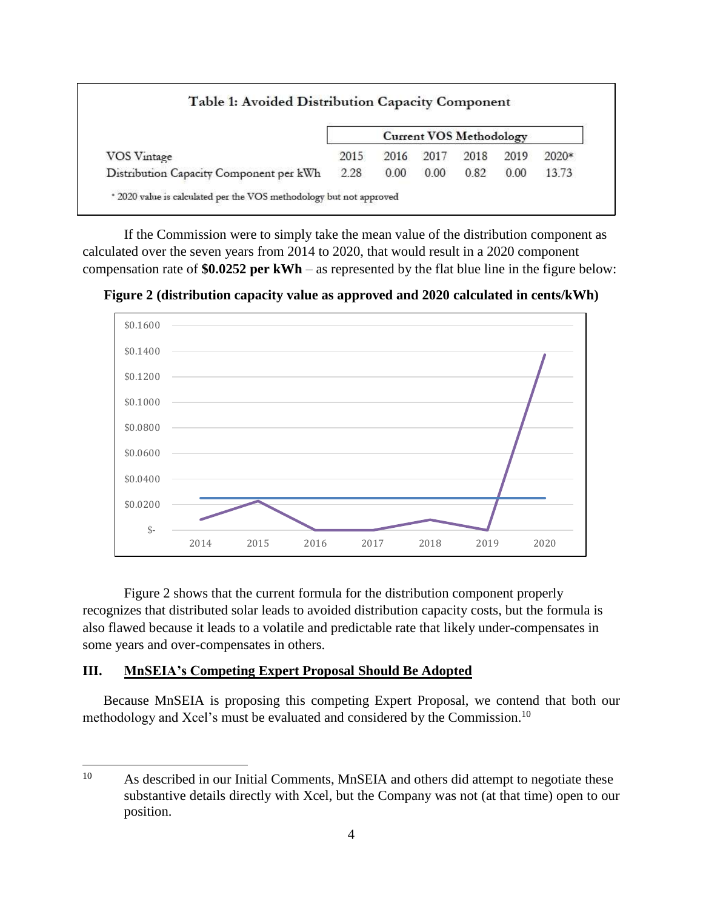| VOS Vintage                             | <b>Current VOS Methodology</b> |      |      |      |      |         |
|-----------------------------------------|--------------------------------|------|------|------|------|---------|
|                                         | 2015                           | 2016 | 2017 | 2018 | 2019 | $2020*$ |
| Distribution Capacity Component per kWh | 2.28                           | 0.00 | 0.00 | 0.82 | 0.00 | 13.73   |

If the Commission were to simply take the mean value of the distribution component as calculated over the seven years from 2014 to 2020, that would result in a 2020 component compensation rate of **\$0.0252 per kWh** – as represented by the flat blue line in the figure below:

**Figure 2 (distribution capacity value as approved and 2020 calculated in cents/kWh)**



Figure 2 shows that the current formula for the distribution component properly recognizes that distributed solar leads to avoided distribution capacity costs, but the formula is also flawed because it leads to a volatile and predictable rate that likely under-compensates in some years and over-compensates in others.

### **III. MnSEIA's Competing Expert Proposal Should Be Adopted**

Because MnSEIA is proposing this competing Expert Proposal, we contend that both our methodology and Xcel's must be evaluated and considered by the Commission.<sup>10</sup>

<sup>&</sup>lt;sup>10</sup> As described in our Initial Comments, MnSEIA and others did attempt to negotiate these substantive details directly with Xcel, but the Company was not (at that time) open to our position.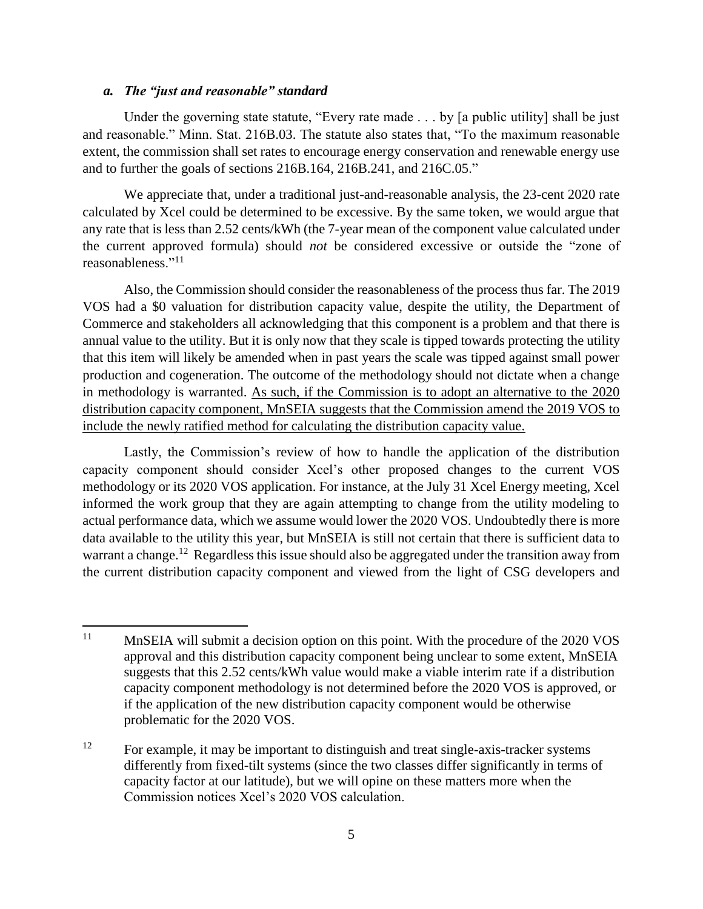#### *a. The "just and reasonable" standard*

Under the governing state statute, "Every rate made . . . by [a public utility] shall be just and reasonable." Minn. Stat. 216B.03. The statute also states that, "To the maximum reasonable extent, the commission shall set rates to encourage energy conservation and renewable energy use and to further the goals of sections 216B.164, 216B.241, and 216C.05."

We appreciate that, under a traditional just-and-reasonable analysis, the 23-cent 2020 rate calculated by Xcel could be determined to be excessive. By the same token, we would argue that any rate that is less than 2.52 cents/kWh (the 7-year mean of the component value calculated under the current approved formula) should *not* be considered excessive or outside the "zone of reasonableness."<sup>11</sup>

Also, the Commission should consider the reasonableness of the process thus far. The 2019 VOS had a \$0 valuation for distribution capacity value, despite the utility, the Department of Commerce and stakeholders all acknowledging that this component is a problem and that there is annual value to the utility. But it is only now that they scale is tipped towards protecting the utility that this item will likely be amended when in past years the scale was tipped against small power production and cogeneration. The outcome of the methodology should not dictate when a change in methodology is warranted. As such, if the Commission is to adopt an alternative to the 2020 distribution capacity component, MnSEIA suggests that the Commission amend the 2019 VOS to include the newly ratified method for calculating the distribution capacity value.

Lastly, the Commission's review of how to handle the application of the distribution capacity component should consider Xcel's other proposed changes to the current VOS methodology or its 2020 VOS application. For instance, at the July 31 Xcel Energy meeting, Xcel informed the work group that they are again attempting to change from the utility modeling to actual performance data, which we assume would lower the 2020 VOS. Undoubtedly there is more data available to the utility this year, but MnSEIA is still not certain that there is sufficient data to warrant a change.<sup>12</sup> Regardless this issue should also be aggregated under the transition away from the current distribution capacity component and viewed from the light of CSG developers and

<sup>&</sup>lt;sup>11</sup> MnSEIA will submit a decision option on this point. With the procedure of the 2020 VOS approval and this distribution capacity component being unclear to some extent, MnSEIA suggests that this 2.52 cents/kWh value would make a viable interim rate if a distribution capacity component methodology is not determined before the 2020 VOS is approved, or if the application of the new distribution capacity component would be otherwise problematic for the 2020 VOS.

<sup>12</sup> For example, it may be important to distinguish and treat single-axis-tracker systems differently from fixed-tilt systems (since the two classes differ significantly in terms of capacity factor at our latitude), but we will opine on these matters more when the Commission notices Xcel's 2020 VOS calculation.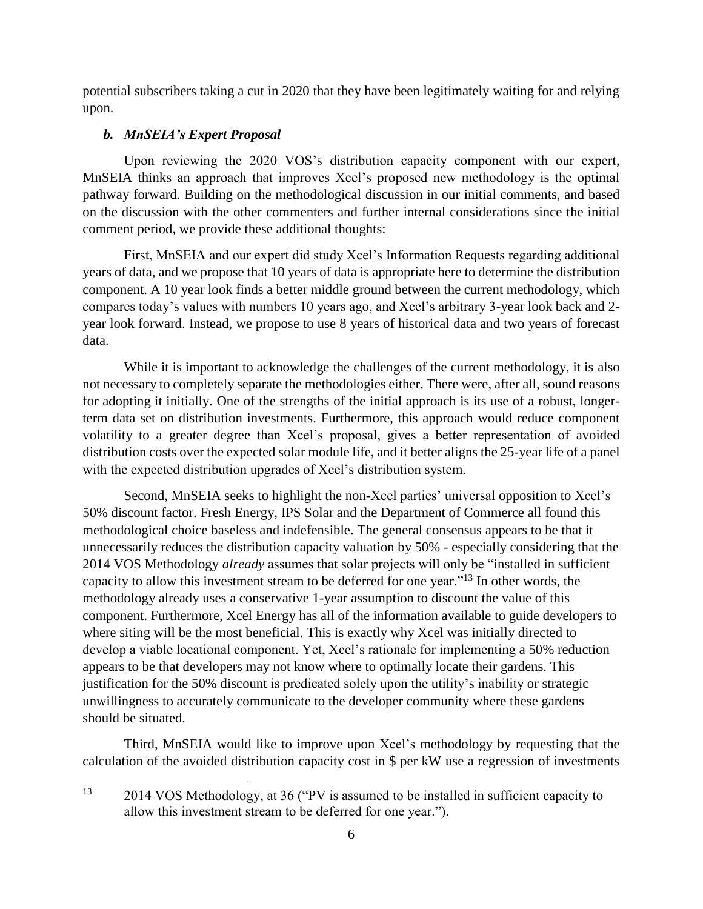potential subscribers taking a cut in 2020 that they have been legitimately waiting for and relying upon.

#### *b. MnSEIA's Expert Proposal*

Upon reviewing the 2020 VOS's distribution capacity component with our expert, MnSEIA thinks an approach that improves Xcel's proposed new methodology is the optimal pathway forward. Building on the methodological discussion in our initial comments, and based on the discussion with the other commenters and further internal considerations since the initial comment period, we provide these additional thoughts:

First, MnSEIA and our expert did study Xcel's Information Requests regarding additional years of data, and we propose that 10 years of data is appropriate here to determine the distribution component. A 10 year look finds a better middle ground between the current methodology, which compares today's values with numbers 10 years ago, and Xcel's arbitrary 3-year look back and 2 year look forward. Instead, we propose to use 8 years of historical data and two years of forecast data.

While it is important to acknowledge the challenges of the current methodology, it is also not necessary to completely separate the methodologies either. There were, after all, sound reasons for adopting it initially. One of the strengths of the initial approach is its use of a robust, longerterm data set on distribution investments. Furthermore, this approach would reduce component volatility to a greater degree than Xcel's proposal, gives a better representation of avoided distribution costs over the expected solar module life, and it better aligns the 25-year life of a panel with the expected distribution upgrades of Xcel's distribution system.

Second, MnSEIA seeks to highlight the non-Xcel parties' universal opposition to Xcel's 50% discount factor. Fresh Energy, IPS Solar and the Department of Commerce all found this methodological choice baseless and indefensible. The general consensus appears to be that it unnecessarily reduces the distribution capacity valuation by 50% - especially considering that the 2014 VOS Methodology *already* assumes that solar projects will only be "installed in sufficient capacity to allow this investment stream to be deferred for one year."<sup>13</sup> In other words, the methodology already uses a conservative 1-year assumption to discount the value of this component. Furthermore, Xcel Energy has all of the information available to guide developers to where siting will be the most beneficial. This is exactly why Xcel was initially directed to develop a viable locational component. Yet, Xcel's rationale for implementing a 50% reduction appears to be that developers may not know where to optimally locate their gardens. This justification for the 50% discount is predicated solely upon the utility's inability or strategic unwillingness to accurately communicate to the developer community where these gardens should be situated.

Third, MnSEIA would like to improve upon Xcel's methodology by requesting that the calculation of the avoided distribution capacity cost in \$ per kW use a regression of investments

<sup>&</sup>lt;sup>13</sup> 2014 VOS Methodology, at 36 ("PV is assumed to be installed in sufficient capacity to allow this investment stream to be deferred for one year.").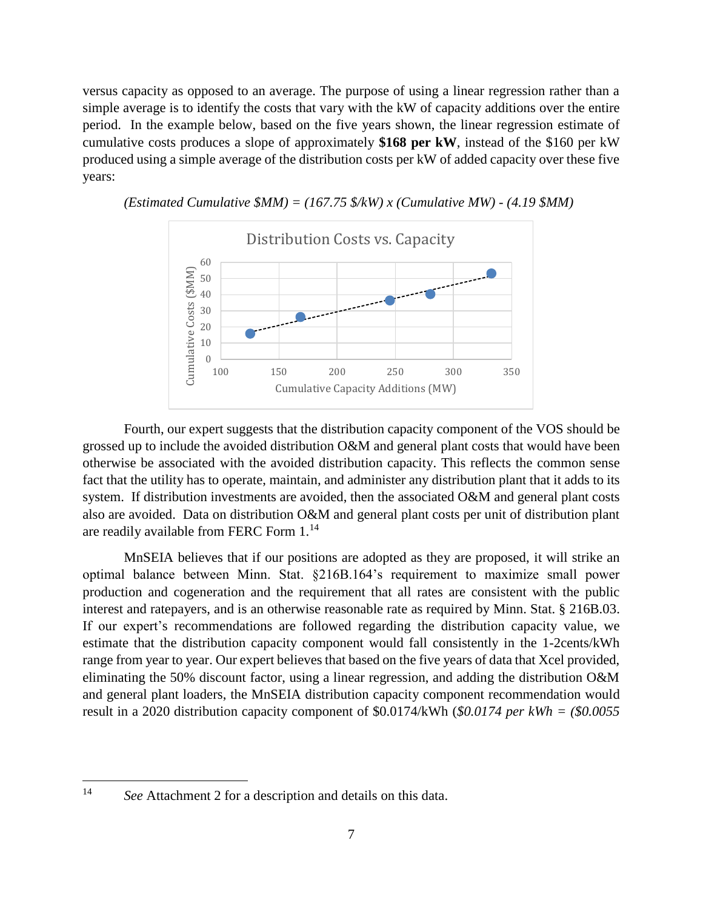versus capacity as opposed to an average. The purpose of using a linear regression rather than a simple average is to identify the costs that vary with the kW of capacity additions over the entire period. In the example below, based on the five years shown, the linear regression estimate of cumulative costs produces a slope of approximately **\$168 per kW**, instead of the \$160 per kW produced using a simple average of the distribution costs per kW of added capacity over these five years:



*(Estimated Cumulative \$MM) = (167.75 \$/kW) x (Cumulative MW) - (4.19 \$MM)*

Fourth, our expert suggests that the distribution capacity component of the VOS should be grossed up to include the avoided distribution O&M and general plant costs that would have been otherwise be associated with the avoided distribution capacity. This reflects the common sense fact that the utility has to operate, maintain, and administer any distribution plant that it adds to its system. If distribution investments are avoided, then the associated O&M and general plant costs also are avoided. Data on distribution O&M and general plant costs per unit of distribution plant are readily available from FERC Form 1.<sup>14</sup>

MnSEIA believes that if our positions are adopted as they are proposed, it will strike an optimal balance between Minn. Stat. §216B.164's requirement to maximize small power production and cogeneration and the requirement that all rates are consistent with the public interest and ratepayers, and is an otherwise reasonable rate as required by Minn. Stat. § 216B.03. If our expert's recommendations are followed regarding the distribution capacity value, we estimate that the distribution capacity component would fall consistently in the 1-2cents/kWh range from year to year. Our expert believes that based on the five years of data that Xcel provided, eliminating the 50% discount factor, using a linear regression, and adding the distribution O&M and general plant loaders, the MnSEIA distribution capacity component recommendation would result in a 2020 distribution capacity component of \$0.0174/kWh (*\$0.0174 per kWh = (\$0.0055* 

<sup>14</sup> *See* Attachment 2 for a description and details on this data.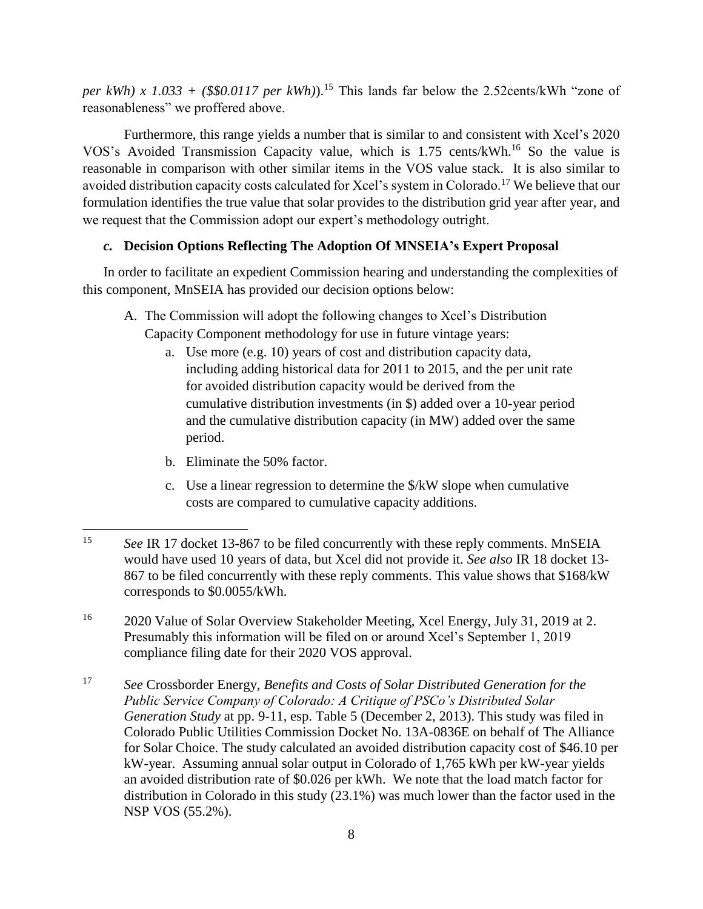*per kWh) x 1.033* + (\$\$0.0117 *per kWh)*).<sup>15</sup> This lands far below the 2.52cents/kWh "zone of reasonableness" we proffered above.

Furthermore, this range yields a number that is similar to and consistent with Xcel's 2020 VOS's Avoided Transmission Capacity value, which is 1.75 cents/kWh.<sup>16</sup> So the value is reasonable in comparison with other similar items in the VOS value stack. It is also similar to avoided distribution capacity costs calculated for Xcel's system in Colorado.<sup>17</sup> We believe that our formulation identifies the true value that solar provides to the distribution grid year after year, and we request that the Commission adopt our expert's methodology outright.

## *c.* **Decision Options Reflecting The Adoption Of MNSEIA's Expert Proposal**

In order to facilitate an expedient Commission hearing and understanding the complexities of this component, MnSEIA has provided our decision options below:

- A. The Commission will adopt the following changes to Xcel's Distribution
	- Capacity Component methodology for use in future vintage years:
		- a. Use more (e.g. 10) years of cost and distribution capacity data, including adding historical data for 2011 to 2015, and the per unit rate for avoided distribution capacity would be derived from the cumulative distribution investments (in \$) added over a 10-year period and the cumulative distribution capacity (in MW) added over the same period.
		- b. Eliminate the 50% factor.
		- c. Use a linear regression to determine the \$/kW slope when cumulative costs are compared to cumulative capacity additions.

<sup>15</sup> *See* IR 17 docket 13-867 to be filed concurrently with these reply comments. MnSEIA would have used 10 years of data, but Xcel did not provide it. *See also* IR 18 docket 13- 867 to be filed concurrently with these reply comments. This value shows that \$168/kW corresponds to \$0.0055/kWh.

<sup>16</sup> 2020 Value of Solar Overview Stakeholder Meeting, Xcel Energy, July 31, 2019 at 2. Presumably this information will be filed on or around Xcel's September 1, 2019 compliance filing date for their 2020 VOS approval.

<sup>17</sup> *See* Crossborder Energy, *Benefits and Costs of Solar Distributed Generation for the Public Service Company of Colorado: A Critique of PSCo's Distributed Solar Generation Study* at pp. 9-11, esp. Table 5 (December 2, 2013). This study was filed in Colorado Public Utilities Commission Docket No. 13A-0836E on behalf of The Alliance for Solar Choice. The study calculated an avoided distribution capacity cost of \$46.10 per kW-year. Assuming annual solar output in Colorado of 1,765 kWh per kW-year yields an avoided distribution rate of \$0.026 per kWh. We note that the load match factor for distribution in Colorado in this study (23.1%) was much lower than the factor used in the NSP VOS (55.2%).